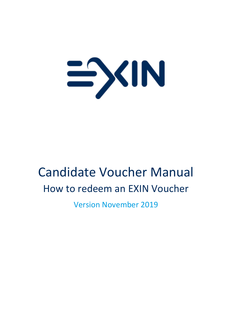

# Candidate Voucher Manual How to redeem an EXIN Voucher

Version November 2019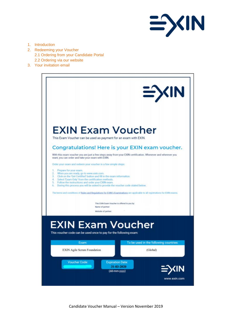

- 1. Introduction
- 2. Redeeming your Voucher 2.1 Ordering from your Candidate Portal
	- 2.2 Ordering via our website
- 3. Your invitation email



Candidate Voucher Manual – Version November 2019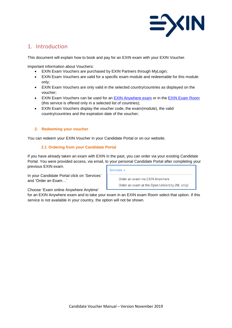

# 1. Introduction

This document will explain how to book and pay for an EXIN exam with your EXIN Voucher.

Important information about Vouchers:

- EXIN Exam Vouchers are purchased by EXIN Partners through MyLogin;
- EXIN Exam Vouchers are valid for a specific exam module and redeemable for this module only;
- EXIN Exam Vouchers are only valid in the selected country/countries as displayed on the voucher;
- EXIN Exam Vouchers can be used for an **EXIN Anywhere exam or in the [EXIN Exam Room](https://www.exin.com/open-universiteit)** (this service is offered only in a selected list of countries);
- EXIN Exam Vouchers display the voucher code, the exam(module), the valid country/countries and the expiration date of the voucher;

# **2. Redeeming your voucher**

You can redeem your EXIN Voucher in your Candidate Portal or on our website.

# **2.1 Ordering from your Candidate Portal**

If you have already taken an exam with EXIN in the past, you can order via your existing Candidate Portal. You were provided access, via email, to your personal Candidate Portal after completing your previous EXIN exam.

In your Candidate Portal click on 'Services' and 'Order an Exam…'

Services v

Order an exam via EXIN Anywhere

Order an exam at the Open University (NL only)

Choose 'Exam online Anywhere Anytime'

for an EXIN Anywhere exam and to take your exam in an EXIN exam Room select that option. If this service is not available in your country, the option will not be shown.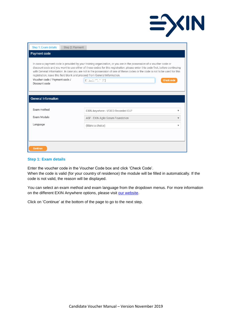| Step 1: Exam details                                                                                                                                                                                                                                                                                                                                                                                                                                                                                                                                         | Step 2: Payment                                                |  |  |  |  |
|--------------------------------------------------------------------------------------------------------------------------------------------------------------------------------------------------------------------------------------------------------------------------------------------------------------------------------------------------------------------------------------------------------------------------------------------------------------------------------------------------------------------------------------------------------------|----------------------------------------------------------------|--|--|--|--|
| Payment code                                                                                                                                                                                                                                                                                                                                                                                                                                                                                                                                                 |                                                                |  |  |  |  |
| In case a payment code is provided by your training organization, or you are in the possession of a voucher code or<br>discount code and you want to use either of these codes for this registration, please enter this code first, before continuing<br>with General Information. In case you are not in the possession of one of these codes or the code is not to be used for this<br>registration, leave this field blank and proceed from General Information.<br>Voucher code / Payment code /<br>EDJu.2.75.0070<br><b>Check code</b><br>Discount code |                                                                |  |  |  |  |
| <b>General Information</b>                                                                                                                                                                                                                                                                                                                                                                                                                                                                                                                                   |                                                                |  |  |  |  |
|                                                                                                                                                                                                                                                                                                                                                                                                                                                                                                                                                              |                                                                |  |  |  |  |
| Exam method                                                                                                                                                                                                                                                                                                                                                                                                                                                                                                                                                  | EXIN Anywhere - VIDEO Recorded OLP<br>▼                        |  |  |  |  |
| Exam Module                                                                                                                                                                                                                                                                                                                                                                                                                                                                                                                                                  | ASF - EXIN Agile Scrum Foundation<br>$\boldsymbol{\mathrm{v}}$ |  |  |  |  |
| Language                                                                                                                                                                                                                                                                                                                                                                                                                                                                                                                                                     | (Make a choice)<br>$\overline{\mathbf{v}}$                     |  |  |  |  |
|                                                                                                                                                                                                                                                                                                                                                                                                                                                                                                                                                              |                                                                |  |  |  |  |
|                                                                                                                                                                                                                                                                                                                                                                                                                                                                                                                                                              |                                                                |  |  |  |  |
| <b>Continue</b>                                                                                                                                                                                                                                                                                                                                                                                                                                                                                                                                              |                                                                |  |  |  |  |

 $\Rightarrow$ 

#### **Step 1: Exam details**

Enter the voucher code in the Voucher Code box and click 'Check Code'.

When the code is valid (for your country of residence) the module will be filled in automatically. If the code is not valid, the reason will be displayed.

You can select an exam method and exam language from the dropdown menus. For more information on the different EXIN Anywhere options, please visit [our website.](https://www.exin.com/exin-anywhere)

Click on 'Continue' at the bottom of the page to go to the next step.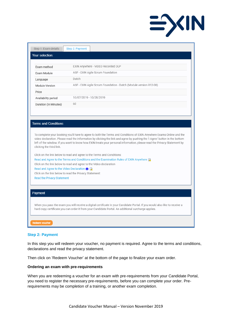

| ASF - EXIN Agile Scrum Foundation<br>ASF - EXIN Agile Scrum Foundation - Dutch (Module version R12-08)<br>10/07/2019 - 10/28/2019                                                                                                                                                                                                                                              |  |  |  |  |
|--------------------------------------------------------------------------------------------------------------------------------------------------------------------------------------------------------------------------------------------------------------------------------------------------------------------------------------------------------------------------------|--|--|--|--|
|                                                                                                                                                                                                                                                                                                                                                                                |  |  |  |  |
|                                                                                                                                                                                                                                                                                                                                                                                |  |  |  |  |
|                                                                                                                                                                                                                                                                                                                                                                                |  |  |  |  |
|                                                                                                                                                                                                                                                                                                                                                                                |  |  |  |  |
|                                                                                                                                                                                                                                                                                                                                                                                |  |  |  |  |
|                                                                                                                                                                                                                                                                                                                                                                                |  |  |  |  |
| Click on the link below to read and agree to the Terms and Conditions:<br>Read and Agree to the Terms and Conditions and the Examination Rules of EXIN Anywhere<br>Click on the link below to read and agree to the Video declaration                                                                                                                                          |  |  |  |  |
| Read and Agree to the Video Declaration <b>O</b>                                                                                                                                                                                                                                                                                                                               |  |  |  |  |
|                                                                                                                                                                                                                                                                                                                                                                                |  |  |  |  |
| Click on the link below to read the Privacy Statement:                                                                                                                                                                                                                                                                                                                         |  |  |  |  |
|                                                                                                                                                                                                                                                                                                                                                                                |  |  |  |  |
|                                                                                                                                                                                                                                                                                                                                                                                |  |  |  |  |
| To complete your booking you'll have to agree to both the Terms and Conditions of EXIN Anywhere Exams Online and the<br>video declaration. Please read the information by clicking the link and agree by pushing the 'I Agree' button in the bottom<br>left of the window. If you want to know how EXIN treats your personal information, please read the Privacy Statement by |  |  |  |  |

# **Step 2: Payment**

In this step you will redeem your voucher, no payment is required. Agree to the terms and conditions, declarations and read the privacy statement.

Then click on 'Redeem Voucher' at the bottom of the page to finalize your exam order.

# **Ordering an exam with pre-requirements**

When you are redeeming a voucher for an exam with pre-requirements from your Candidate Portal, you need to register the necessary pre-requirements, before you can complete your order. Prerequirements may be completion of a training, or another exam completion.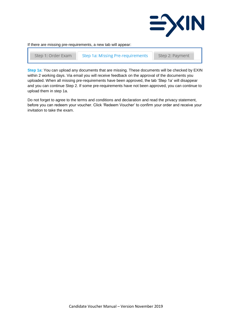

If there are missing pre-requirements, a new tab will appear:

Step 1: Order Exam **Step 1a: Missing Pre-requirements**  Step 2: Payment

**Step 1a**: You can upload any documents that are missing. These documents will be checked by EXIN within 2 working days. Via email you will receive feedback on the approval of the documents you uploaded. When all missing pre-requirements have been approved, the tab 'Step 1a' will disappear and you can continue Step 2. If some pre-requirements have not been approved, you can continue to upload them in step 1a.

Do not forget to agree to the terms and conditions and declaration and read the privacy statement, before you can redeem your voucher. Click 'Redeem Voucher' to confirm your order and receive your invitation to take the exam.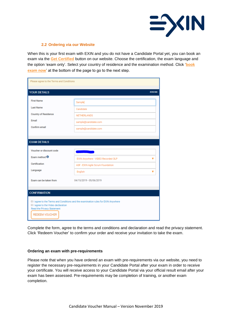

#### **2.2 Ordering via our Website**

When this is your first exam with EXIN and you do not have a Candidate Portal yet, you can book an exam via the **[Get Certified](https://www.exin.com/get-certified)** button on our website. Choose the certification, the exam language and the option 'exam only'. Select your country of residence and the examination method. Click '**book exam now**' at the bottom of the page to go to the next step.

| Please agree to the Terms and Conditions                                                                 |                                                                                           |         |  |
|----------------------------------------------------------------------------------------------------------|-------------------------------------------------------------------------------------------|---------|--|
| <b>YOUR DETAILS</b>                                                                                      |                                                                                           | #292366 |  |
| <b>First Name</b><br><b>Last Name</b><br><b>Country of Residence</b><br>Email<br>Confirm email           | Sample<br>Candidate<br><b>NETHERLANDS</b><br>sample@candidate.com<br>sample@candidate.com |         |  |
| <b>EXAM DETAILS</b><br>Voucher or discount code<br>Exam method <sup>6</sup><br>Certification<br>Language | EXIN Anywhere - VIDEO Recorded OLP<br>ASF - EXIN Agile Scrum Foundation<br>English        | ┳<br>v  |  |
| Exam can be taken from<br><b>CONFIRMATION</b>                                                            | 04/15/2019 - 05/06/2019                                                                   |         |  |
| I agree to the Video declaration<br>Read the Privacy Statement<br><b>REDEEM VOUCHER</b>                  | I agree to the Terms and Conditions and the examination rules for EXIN Anywhere           |         |  |

Complete the form, agree to the terms and conditions and declaration and read the privacy statement. Click 'Redeem Voucher' to confirm your order and receive your invitation to take the exam.

#### **Ordering an exam with pre-requirements**

Please note that when you have ordered an exam with pre-requirements via our website, you need to register the necessary pre-requirements in your Candidate Portal after your exam in order to receive your certificate. You will receive access to your Candidate Portal via your official result email after your exam has been assessed. Pre-requirements may be completion of training, or another exam completion.